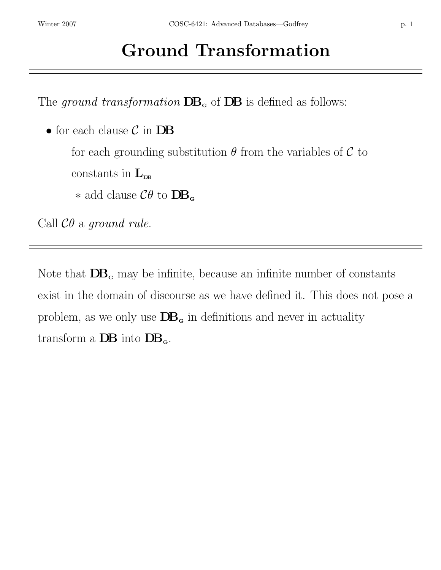The ground transformation  $DB<sub>g</sub>$  of  $DB$  is defined as follows:

 $\bullet$  for each clause  $\mathcal C$  in  ${\bf DB}$ 

for each grounding substitution  $\theta$  from the variables of  $\mathcal C$  to

constants in  $L_{\text{DB}}$ 

∗ add clause  $\mathcal{C}\theta$  to **DB**<sub>α</sub>

Call  $\mathcal{C}\theta$  a ground rule.

Note that  $DB<sub>g</sub>$  may be infinite, because an infinite number of constants exist in the domain of discourse as we have defined it. This does not pose a problem, as we only use  $DB<sub>g</sub>$  in definitions and never in actuality transform a  $DB$  into  $DB_{\alpha}$ .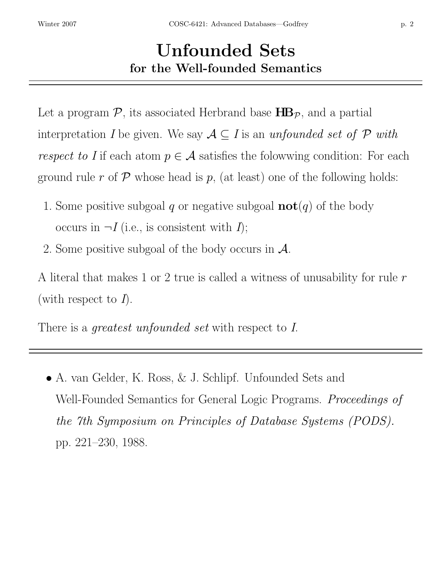## Unfounded Sets for the Well-founded Semantics

Let a program  $\mathcal{P}$ , its associated Herbrand base  $\mathbf{HB}_{\mathcal{P}}$ , and a partial interpretation I be given. We say  $A \subseteq I$  is an unfounded set of P with respect to I if each atom  $p \in \mathcal{A}$  satisfies the folowwing condition: For each ground rule r of  $\mathcal P$  whose head is p, (at least) one of the following holds:

- 1. Some positive subgoal q or negative subgoal  $\textbf{not}(q)$  of the body occurs in  $\neg I$  (i.e., is consistent with  $I$ );
- 2. Some positive subgoal of the body occurs in A.

A literal that makes 1 or 2 true is called a witness of unusability for rule  $r$ (with respect to  $I$ ).

There is a *greatest unfounded set* with respect to I.

• A. van Gelder, K. Ross, & J. Schlipf. Unfounded Sets and Well-Founded Semantics for General Logic Programs. Proceedings of the 7th Symposium on Principles of Database Systems (PODS). pp. 221–230, 1988.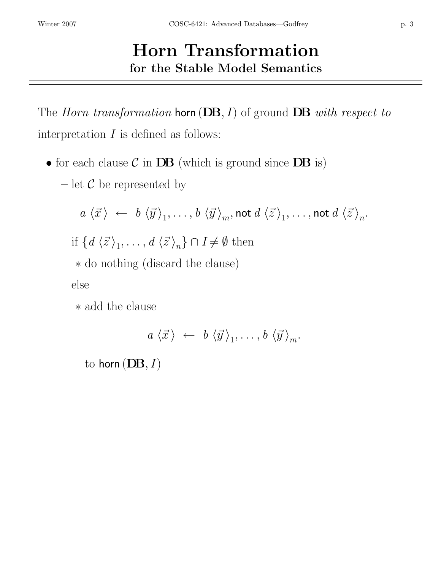## Horn Transformation for the Stable Model Semantics

The *Horn transformation* horn  $(DB, I)$  of ground  $DB$  with respect to interpretation  $I$  is defined as follows:

- for each clause  $\mathcal C$  in  $\mathbf{DB}$  (which is ground since  $\mathbf{DB}$  is)
	- let  $\mathcal C$  be represented by

$$
a \langle \vec{x} \rangle \leftarrow b \langle \vec{y} \rangle_1, \dots, b \langle \vec{y} \rangle_m, \text{not } d \langle \vec{z} \rangle_1, \dots, \text{not } d \langle \vec{z} \rangle_n.
$$
  
if  $\{d \langle \vec{z} \rangle_1, \dots, d \langle \vec{z} \rangle_n\} \cap I \neq \emptyset$  then  
 $\ast$  do nothing (discard the clause)  
else

∗ add the clause

$$
a \langle \vec{x} \rangle \leftarrow b \langle \vec{y} \rangle_1, \ldots, b \langle \vec{y} \rangle_m
$$
.

to horn  $(DB, I)$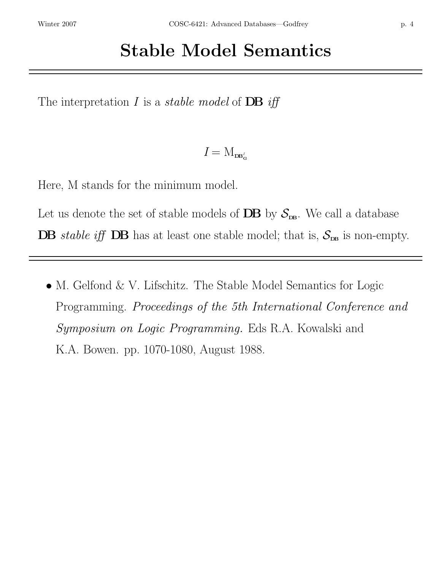# Stable Model Semantics

The interpretation I is a *stable model* of **DB** iff

 $I = M_{\mathbf{D} \mathbf{B}^I}$ G

Here, M stands for the minimum model.

Let us denote the set of stable models of  $\mathbf{DB}$  by  $\mathcal{S}_{\mathbf{DB}}$ . We call a database

**DB** stable iff **DB** has at least one stable model; that is,  $S_{\text{DB}}$  is non-empty.

• M. Gelfond & V. Lifschitz. The Stable Model Semantics for Logic Programming. Proceedings of the 5th International Conference and Symposium on Logic Programming. Eds R.A. Kowalski and K.A. Bowen. pp. 1070-1080, August 1988.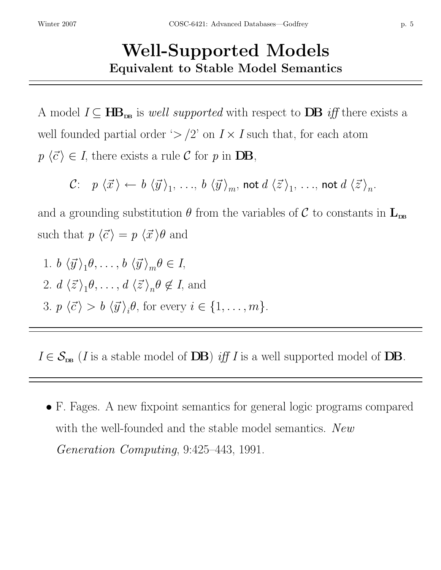## Well-Supported Models Equivalent to Stable Model Semantics

A model  $I \subseteq \mathbf{HB}_{\mathbf{DB}}$  is well supported with respect to  $\mathbf{DB}$  iff there exists a well founded partial order ' $>/2$ ' on  $I \times I$  such that, for each atom  $p \langle \vec{c} \rangle \in I$ , there exists a rule C for p in DB,

$$
\mathcal{C}\colon \quad p\,\left\langle\vec{x}\right\rangle\leftarrow\, b\,\left\langle\vec{y}\right\rangle_1,\,\ldots,\,b\,\left\langle\vec{y}\right\rangle_m,\,\text{not}\,d\,\left\langle\vec{z}\right\rangle_1,\,\ldots,\,\text{not}\,d\,\left\langle\vec{z}\right\rangle_n.
$$

and a grounding substitution  $\theta$  from the variables of C to constants in  $L_{\text{DB}}$ such that  $p \langle \vec{c} \rangle = p \langle \vec{x} \rangle \theta$  and

1.  $b \langle \vec{y} \rangle_1 \theta, \ldots, b \langle \vec{y} \rangle_m \theta \in I$ , 2.  $d \langle \vec{z} \rangle_1 \theta, \ldots, d \langle \vec{z} \rangle_n \theta \notin I$ , and 3.  $p \langle \vec{c} \rangle > b \langle \vec{y} \rangle_i \theta$ , for every  $i \in \{1, ..., m\}$ .

 $I \in \mathcal{S}_{\text{DB}}$  (*I* is a stable model of **DB**) if *I* is a well supported model of **DB**.

• F. Fages. A new fixpoint semantics for general logic programs compared with the well-founded and the stable model semantics. New Generation Computing, 9:425–443, 1991.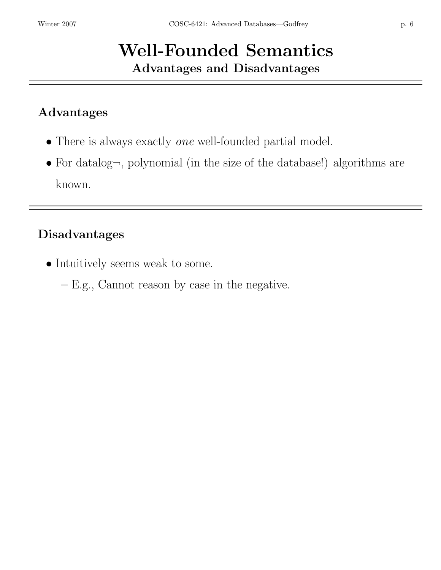## Well-Founded Semantics Advantages and Disadvantages

### Advantages

- There is always exactly *one* well-founded partial model.
- For datalog $\neg$ , polynomial (in the size of the database!) algorithms are known.

#### Disadvantages

- Intuitively seems weak to some.
	- E.g., Cannot reason by case in the negative.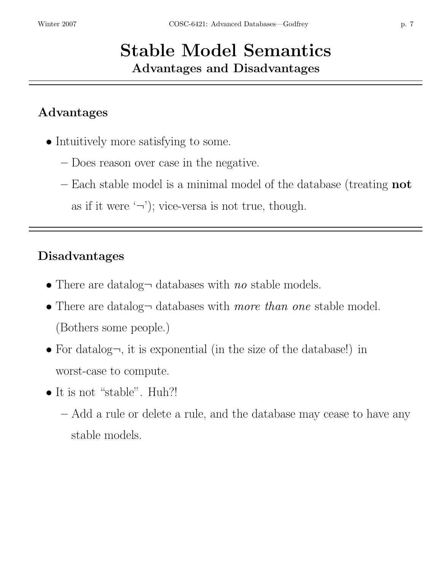## Stable Model Semantics Advantages and Disadvantages

#### Advantages

- Intuitively more satisfying to some.
	- Does reason over case in the negative.
	- Each stable model is a minimal model of the database (treating not as if it were  $\langle \neg \rangle$ ; vice-versa is not true, though.

#### Disadvantages

- There are datalog $\neg$  databases with no stable models.
- There are datalog databases with *more than one* stable model. (Bothers some people.)
- For datalog $\neg$ , it is exponential (in the size of the database!) in worst-case to compute.
- It is not "stable". Huh?!
	- Add a rule or delete a rule, and the database may cease to have any stable models.